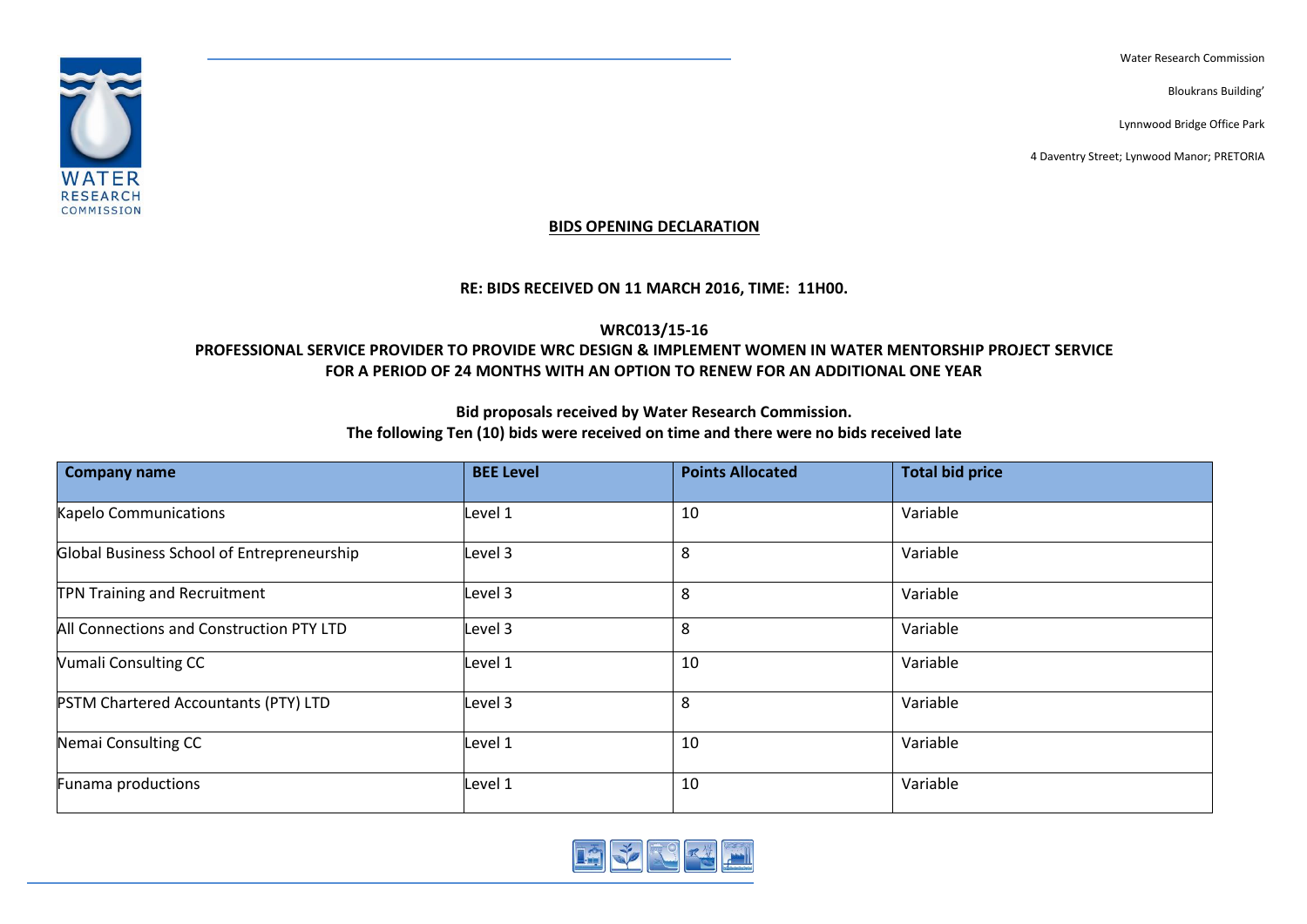Water Research Commission

Bloukrans Building'

Lynnwood Bridge Office Park

4 Daventry Street; Lynwood Manor; PRETORIA



#### **BIDS OPENING DECLARATION**

#### **RE: BIDS RECEIVED ON 11 MARCH 2016, TIME: 11H00.**

## **WRC013/15-16**

### **PROFESSIONAL SERVICE PROVIDER TO PROVIDE WRC DESIGN & IMPLEMENT WOMEN IN WATER MENTORSHIP PROJECT SERVICE FOR A PERIOD OF 24 MONTHS WITH AN OPTION TO RENEW FOR AN ADDITIONAL ONE YEAR**

### **Bid proposals received by Water Research Commission. The following Ten (10) bids were received on time and there were no bids received late**

| <b>Company name</b>                         | <b>BEE Level</b> | <b>Points Allocated</b> | <b>Total bid price</b> |
|---------------------------------------------|------------------|-------------------------|------------------------|
| Kapelo Communications                       | Level 1          | 10                      | Variable               |
| Global Business School of Entrepreneurship  | Level 3          | 8                       | Variable               |
| <b>TPN Training and Recruitment</b>         | Level 3          | 8                       | Variable               |
| All Connections and Construction PTY LTD    | Level 3          | 8                       | Variable               |
| <b>Vumali Consulting CC</b>                 | Level 1          | 10                      | Variable               |
| <b>PSTM Chartered Accountants (PTY) LTD</b> | Level 3          | 8                       | Variable               |
| Nemai Consulting CC                         | Level 1          | 10                      | Variable               |
| Funama productions                          | Level 1          | 10                      | Variable               |